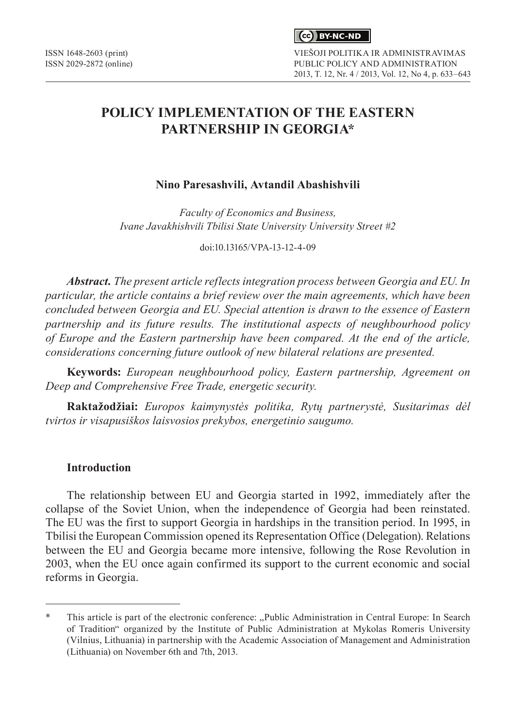

VIEŠOJI POLITIKA IR ADMINISTRAVIMAS PUBLIC POLICY AND ADMINISTRATION 2013, T. 12, Nr. 4 / 2013, Vol. 12, No 4, p. 633–643

# **Policy Implementation of the Eastern Partnership in Georgia\***

# **Nino Paresashvili, Avtandil Abashishvili**

*Faculty of Economics and Business, Ivane Javakhishvili Tbilisi State University University Street #2* 

doi:10.13165/VPA-13-12-4-09

*Abstract. The present article reflects integration process between Georgia and EU. In particular, the article contains a brief review over the main agreements, which have been concluded between Georgia and EU. Special attention is drawn to the essence of Eastern partnership and its future results. The institutional aspects of neughbourhood policy of Europe and the Eastern partnership have been compared. At the end of the article, considerations concerning future outlook of new bilateral relations are presented.* 

**Keywords:** *European neughbourhood policy, Eastern partnership, Agreement on Deep and Comprehensive Free Trade, energetic security.*

**Raktažodžiai:** *Europos kaimynystės politika, Rytų partnerystė, Susitarimas dėl tvirtos ir visapusiškos laisvosios prekybos, energetinio saugumo.*

### **Introduction**

The relationship between EU and Georgia started in 1992, immediately after the collapse of the Soviet Union, when the independence of Georgia had been reinstated. The EU was the first to support Georgia in hardships in the transition period. In 1995, in Tbilisi the European Commission opened its Representation Office (Delegation). Relations between the EU and Georgia became more intensive, following the Rose Revolution in 2003, when the EU once again confirmed its support to the current economic and social reforms in Georgia.

This article is part of the electronic conference: "Public Administration in Central Europe: In Search of Tradition" organized by the Institute of Public Administration at Mykolas Romeris University (Vilnius, Lithuania) in partnership with the Academic Association of Management and Administration (Lithuania) on November 6th and 7th, 2013.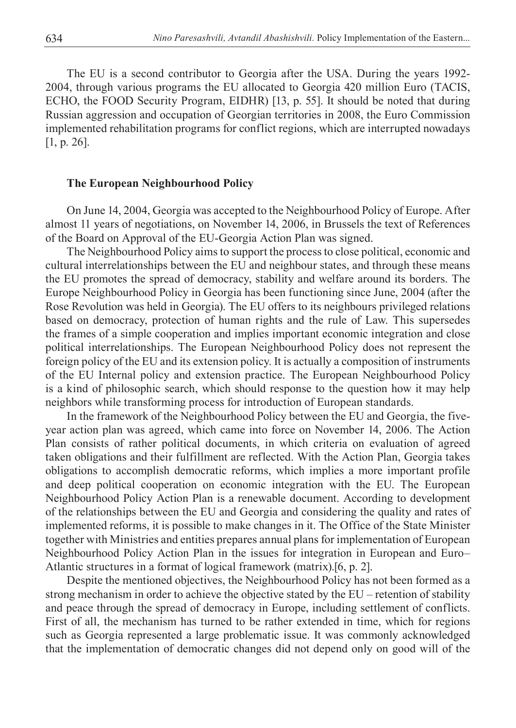The EU is a second contributor to Georgia after the USA. During the years 1992- 2004, through various programs the EU allocated to Georgia 420 million Euro (TACIS, ECHO, the FOOD Security Program, EIDHR) [13, p. 55]. It should be noted that during Russian aggression and occupation of Georgian territories in 2008, the Euro Commission implemented rehabilitation programs for conflict regions, which are interrupted nowadays [1, p. 26].

#### **The European Neighbourhood Policy**

On June 14, 2004, Georgia was accepted to the Neighbourhood Policy of Europe. After almost 11 years of negotiations, on November 14, 2006, in Brussels the text of References of the Board on Approval of the EU-Georgia Action Plan was signed.

The Neighbourhood Policy aims to support the process to close political, economic and cultural interrelationships between the EU and neighbour states, and through these means the EU promotes the spread of democracy, stability and welfare around its borders. The Europe Neighbourhood Policy in Georgia has been functioning since June, 2004 (after the Rose Revolution was held in Georgia). The EU offers to its neighbours privileged relations based on democracy, protection of human rights and the rule of Law. This supersedes the frames of a simple cooperation and implies important economic integration and close political interrelationships. The European Neighbourhood Policy does not represent the foreign policy of the EU and its extension policy. It is actually a composition of instruments of the EU Internal policy and extension practice. The European Neighbourhood Policy is a kind of philosophic search, which should response to the question how it may help neighbors while transforming process for introduction of European standards.

In the framework of the Neighbourhood Policy between the EU and Georgia, the fiveyear action plan was agreed, which came into force on November 14, 2006. The Action Plan consists of rather political documents, in which criteria on evaluation of agreed taken obligations and their fulfillment are reflected. With the Action Plan, Georgia takes obligations to accomplish democratic reforms, which implies a more important profile and deep political cooperation on economic integration with the EU. The European Neighbourhood Policy Action Plan is a renewable document. According to development of the relationships between the EU and Georgia and considering the quality and rates of implemented reforms, it is possible to make changes in it. The Office of the State Minister together with Ministries and entities prepares annual plans for implementation of European Neighbourhood Policy Action Plan in the issues for integration in European and Euro– Atlantic structures in a format of logical framework (matrix).[6, p. 2].

Despite the mentioned objectives, the Neighbourhood Policy has not been formed as a strong mechanism in order to achieve the objective stated by the EU – retention of stability and peace through the spread of democracy in Europe, including settlement of conflicts. First of all, the mechanism has turned to be rather extended in time, which for regions such as Georgia represented a large problematic issue. It was commonly acknowledged that the implementation of democratic changes did not depend only on good will of the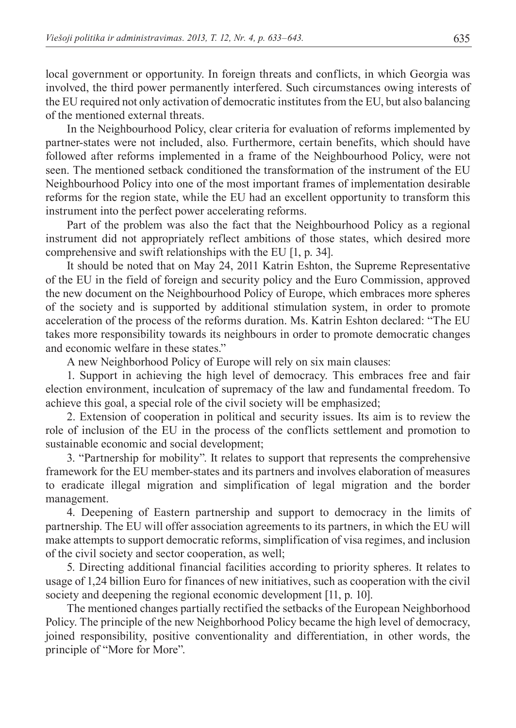local government or opportunity. In foreign threats and conflicts, in which Georgia was involved, the third power permanently interfered. Such circumstances owing interests of the EU required not only activation of democratic institutes from the EU, but also balancing of the mentioned external threats.

In the Neighbourhood Policy, clear criteria for evaluation of reforms implemented by partner-states were not included, also. Furthermore, certain benefits, which should have followed after reforms implemented in a frame of the Neighbourhood Policy, were not seen. The mentioned setback conditioned the transformation of the instrument of the EU Neighbourhood Policy into one of the most important frames of implementation desirable reforms for the region state, while the EU had an excellent opportunity to transform this instrument into the perfect power accelerating reforms.

Part of the problem was also the fact that the Neighbourhood Policy as a regional instrument did not appropriately reflect ambitions of those states, which desired more comprehensive and swift relationships with the EU [1, p. 34].

It should be noted that on May 24, 2011 Katrin Eshton, the Supreme Representative of the EU in the field of foreign and security policy and the Euro Commission, approved the new document on the Neighbourhood Policy of Europe, which embraces more spheres of the society and is supported by additional stimulation system, in order to promote acceleration of the process of the reforms duration. Ms. Katrin Eshton declared: "The EU takes more responsibility towards its neighbours in order to promote democratic changes and economic welfare in these states."

A new Neighborhood Policy of Europe will rely on six main clauses:

1. Support in achieving the high level of democracy. This embraces free and fair election environment, inculcation of supremacy of the law and fundamental freedom. To achieve this goal, a special role of the civil society will be emphasized;

2. Extension of cooperation in political and security issues. Its aim is to review the role of inclusion of the EU in the process of the conflicts settlement and promotion to sustainable economic and social development;

3. "Partnership for mobility". It relates to support that represents the comprehensive framework for the EU member-states and its partners and involves elaboration of measures to eradicate illegal migration and simplification of legal migration and the border management.

4. Deepening of Eastern partnership and support to democracy in the limits of partnership. The EU will offer association agreements to its partners, in which the EU will make attempts to support democratic reforms, simplification of visa regimes, and inclusion of the civil society and sector cooperation, as well;

5. Directing additional financial facilities according to priority spheres. It relates to usage of 1,24 billion Euro for finances of new initiatives, such as cooperation with the civil society and deepening the regional economic development [11, p. 10].

The mentioned changes partially rectified the setbacks of the European Neighborhood Policy. The principle of the new Neighborhood Policy became the high level of democracy, joined responsibility, positive conventionality and differentiation, in other words, the principle of "More for More".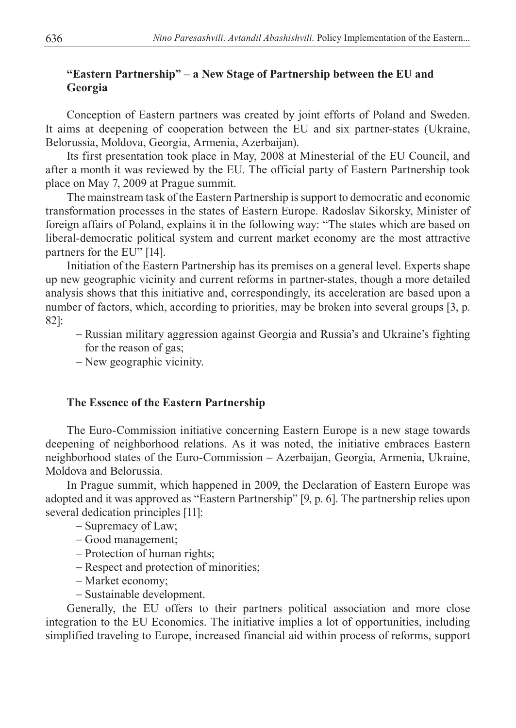# **"Eastern Partnership" – a New Stage of Partnership between the EU and Georgia**

Conception of Eastern partners was created by joint efforts of Poland and Sweden. It aims at deepening of cooperation between the EU and six partner-states (Ukraine, Belorussia, Moldova, Georgia, Armenia, Azerbaijan).

Its first presentation took place in May, 2008 at Minesterial of the EU Council, and after a month it was reviewed by the EU. The official party of Eastern Partnership took place on May 7, 2009 at Prague summit.

The mainstream task of the Eastern Partnership is support to democratic and economic transformation processes in the states of Eastern Europe. Radoslav Sikorsky, Minister of foreign affairs of Poland, explains it in the following way: "The states which are based on liberal-democratic political system and current market economy are the most attractive partners for the EU" [14].

Initiation of the Eastern Partnership has its premises on a general level. Experts shape up new geographic vicinity and current reforms in partner-states, though a more detailed analysis shows that this initiative and, correspondingly, its acceleration are based upon a number of factors, which, according to priorities, may be broken into several groups [3, p. 82]:

- − Russian military aggression against Georgia and Russia's and Ukraine's fighting for the reason of gas;
- − New geographic vicinity.

### **The Essence of the Eastern Partnership**

The Euro-Commission initiative concerning Eastern Europe is a new stage towards deepening of neighborhood relations. As it was noted, the initiative embraces Eastern neighborhood states of the Euro-Commission – Azerbaijan, Georgia, Armenia, Ukraine, Moldova and Belorussia.

In Prague summit, which happened in 2009, the Declaration of Eastern Europe was adopted and it was approved as "Eastern Partnership" [9, p. 6]. The partnership relies upon several dedication principles [11]:

- − Supremacy of Law;
- − Good management;
- − Protection of human rights;
- − Respect and protection of minorities;
- − Market economy;
- − Sustainable development.

Generally, the EU offers to their partners political association and more close integration to the EU Economics. The initiative implies a lot of opportunities, including simplified traveling to Europe, increased financial aid within process of reforms, support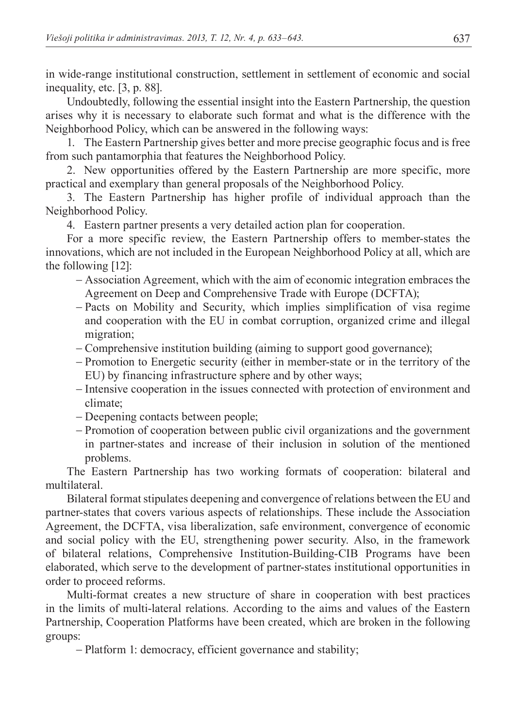in wide-range institutional construction, settlement in settlement of economic and social inequality, etc. [3, p. 88].

Undoubtedly, following the essential insight into the Eastern Partnership, the question arises why it is necessary to elaborate such format and what is the difference with the Neighborhood Policy, which can be answered in the following ways:

1. The Eastern Partnership gives better and more precise geographic focus and is free from such pantamorphia that features the Neighborhood Policy.

2. New opportunities offered by the Eastern Partnership are more specific, more practical and exemplary than general proposals of the Neighborhood Policy.

3. The Eastern Partnership has higher profile of individual approach than the Neighborhood Policy.

4. Eastern partner presents a very detailed action plan for cooperation.

For a more specific review, the Eastern Partnership offers to member-states the innovations, which are not included in the European Neighborhood Policy at all, which are the following [12]:

- − Association Agreement, which with the aim of economic integration embraces the Agreement on Deep and Comprehensive Trade with Europe (DCFTA);
- − Pacts on Mobility and Security, which implies simplification of visa regime and cooperation with the EU in combat corruption, organized crime and illegal migration;
- − Comprehensive institution building (aiming to support good governance);
- − Promotion to Energetic security (either in member-state or in the territory of the EU) by financing infrastructure sphere and by other ways;
- − Intensive cooperation in the issues connected with protection of environment and climate;
- − Deepening contacts between people;
- − Promotion of cooperation between public civil organizations and the government in partner-states and increase of their inclusion in solution of the mentioned problems.

The Eastern Partnership has two working formats of cooperation: bilateral and multilateral.

Bilateral format stipulates deepening and convergence of relations between the EU and partner-states that covers various aspects of relationships. These include the Association Agreement, the DCFTA, visa liberalization, safe environment, convergence of economic and social policy with the EU, strengthening power security. Also, in the framework of bilateral relations, Comprehensive Institution-Building-CIB Programs have been elaborated, which serve to the development of partner-states institutional opportunities in order to proceed reforms.

Multi-format creates a new structure of share in cooperation with best practices in the limits of multi-lateral relations. According to the aims and values of the Eastern Partnership, Cooperation Platforms have been created, which are broken in the following groups:

− Platform 1: democracy, efficient governance and stability;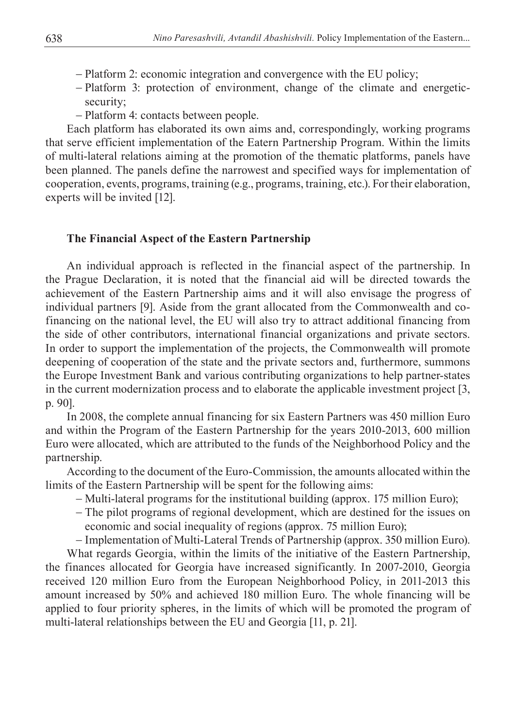- − Platform 2: economic integration and convergence with the EU policy;
- − Platform 3: protection of environment, change of the climate and energeticsecurity;
- − Platform 4: contacts between people.

Each platform has elaborated its own aims and, correspondingly, working programs that serve efficient implementation of the Eatern Partnership Program. Within the limits of multi-lateral relations aiming at the promotion of the thematic platforms, panels have been planned. The panels define the narrowest and specified ways for implementation of cooperation, events, programs, training (e.g., programs, training, etc.). For their elaboration, experts will be invited [12].

### **The Financial Aspect of the Eastern Partnership**

An individual approach is reflected in the financial aspect of the partnership. In the Prague Declaration, it is noted that the financial aid will be directed towards the achievement of the Eastern Partnership aims and it will also envisage the progress of individual partners [9]. Aside from the grant allocated from the Commonwealth and cofinancing on the national level, the EU will also try to attract additional financing from the side of other contributors, international financial organizations and private sectors. In order to support the implementation of the projects, the Commonwealth will promote deepening of cooperation of the state and the private sectors and, furthermore, summons the Europe Investment Bank and various contributing organizations to help partner-states in the current modernization process and to elaborate the applicable investment project [3, p. 90].

In 2008, the complete annual financing for six Eastern Partners was 450 million Euro and within the Program of the Eastern Partnership for the years 2010-2013, 600 million Euro were allocated, which are attributed to the funds of the Neighborhood Policy and the partnership.

According to the document of the Euro-Commission, the amounts allocated within the limits of the Eastern Partnership will be spent for the following aims:

- − Multi-lateral programs for the institutional building (approx. 175 million Euro);
- − The pilot programs of regional development, which are destined for the issues on economic and social inequality of regions (approx. 75 million Euro);
- − Implementation of Multi-Lateral Trends of Partnership (approx. 350 million Euro).

What regards Georgia, within the limits of the initiative of the Eastern Partnership, the finances allocated for Georgia have increased significantly. In 2007-2010, Georgia received 120 million Euro from the European Neighborhood Policy, in 2011-2013 this amount increased by 50% and achieved 180 million Euro. The whole financing will be applied to four priority spheres, in the limits of which will be promoted the program of multi-lateral relationships between the EU and Georgia [11, p. 21].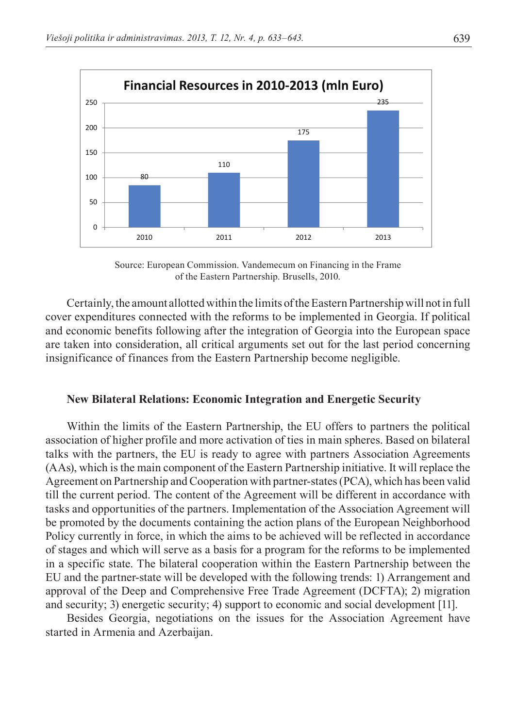

Source: European Commission. Vandemecum on Financing in the Frame of the Eastern Partnership. Brusells, 2010.

Certainly, the amount allotted within the limits of the Eastern Partnership will not in full cover expenditures connected with the reforms to be implemented in Georgia. If political and economic benefits following after the integration of Georgia into the European space are taken into consideration, all critical arguments set out for the last period concerning insignificance of finances from the Eastern Partnership become negligible.

#### **New Bilateral Relations: Economic Integration and Energetic Security**

Within the limits of the Eastern Partnership, the EU offers to partners the political association of higher profile and more activation of ties in main spheres. Based on bilateral talks with the partners, the EU is ready to agree with partners Association Agreements (AAs), which is the main component of the Eastern Partnership initiative. It will replace the Agreement on Partnership and Cooperation with partner-states (PCA), which has been valid till the current period. The content of the Agreement will be different in accordance with tasks and opportunities of the partners. Implementation of the Association Agreement will be promoted by the documents containing the action plans of the European Neighborhood Policy currently in force, in which the aims to be achieved will be reflected in accordance of stages and which will serve as a basis for a program for the reforms to be implemented in a specific state. The bilateral cooperation within the Eastern Partnership between the EU and the partner-state will be developed with the following trends: 1) Arrangement and approval of the Deep and Comprehensive Free Trade Agreement (DCFTA); 2) migration and security; 3) energetic security; 4) support to economic and social development [11].

Besides Georgia, negotiations on the issues for the Association Agreement have started in Armenia and Azerbaijan.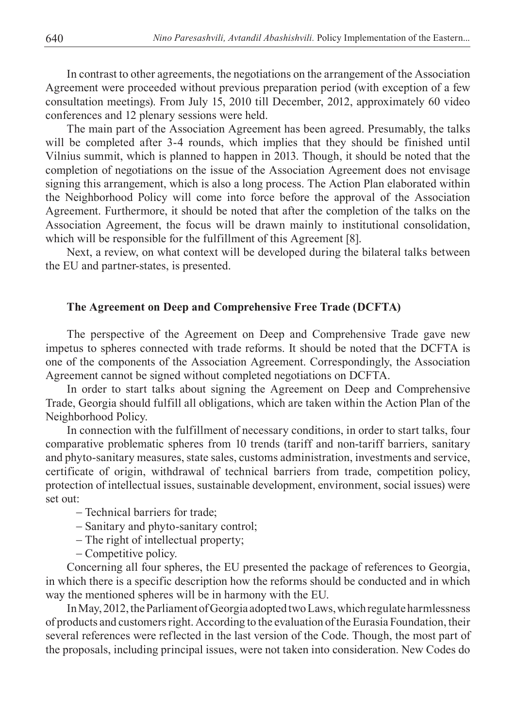In contrast to other agreements, the negotiations on the arrangement of the Association Agreement were proceeded without previous preparation period (with exception of a few consultation meetings). From July 15, 2010 till December, 2012, approximately 60 video conferences and 12 plenary sessions were held.

The main part of the Association Agreement has been agreed. Presumably, the talks will be completed after 3-4 rounds, which implies that they should be finished until Vilnius summit, which is planned to happen in 2013. Though, it should be noted that the completion of negotiations on the issue of the Association Agreement does not envisage signing this arrangement, which is also a long process. The Action Plan elaborated within the Neighborhood Policy will come into force before the approval of the Association Agreement. Furthermore, it should be noted that after the completion of the talks on the Association Agreement, the focus will be drawn mainly to institutional consolidation, which will be responsible for the fulfillment of this Agreement [8].

Next, a review, on what context will be developed during the bilateral talks between the EU and partner-states, is presented.

### **The Agreement on Deep and Comprehensive Free Trade (DCFTA)**

The perspective of the Agreement on Deep and Comprehensive Trade gave new impetus to spheres connected with trade reforms. It should be noted that the DCFTA is one of the components of the Association Agreement. Correspondingly, the Association Agreement cannot be signed without completed negotiations on DCFTA.

In order to start talks about signing the Agreement on Deep and Comprehensive Trade, Georgia should fulfill all obligations, which are taken within the Action Plan of the Neighborhood Policy.

In connection with the fulfillment of necessary conditions, in order to start talks, four comparative problematic spheres from 10 trends (tariff and non-tariff barriers, sanitary and phyto-sanitary measures, state sales, customs administration, investments and service, certificate of origin, withdrawal of technical barriers from trade, competition policy, protection of intellectual issues, sustainable development, environment, social issues) were set out:

− Technical barriers for trade;

- − Sanitary and phyto-sanitary control;
- − The right of intellectual property;
- − Competitive policy.

Concerning all four spheres, the EU presented the package of references to Georgia, in which there is a specific description how the reforms should be conducted and in which way the mentioned spheres will be in harmony with the EU.

In May, 2012, the Parliament of Georgia adopted two Laws, which regulate harmlessness of products and customers right. According to the evaluation of the Eurasia Foundation, their several references were reflected in the last version of the Code. Though, the most part of the proposals, including principal issues, were not taken into consideration. New Codes do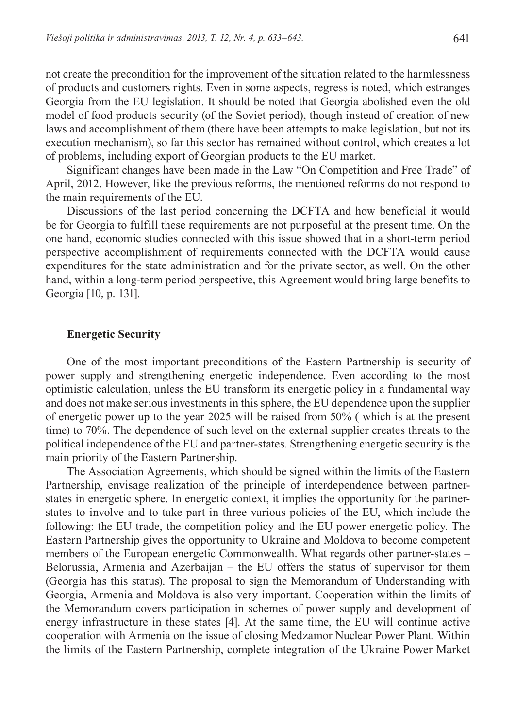not create the precondition for the improvement of the situation related to the harmlessness of products and customers rights. Even in some aspects, regress is noted, which estranges Georgia from the EU legislation. It should be noted that Georgia abolished even the old model of food products security (of the Soviet period), though instead of creation of new laws and accomplishment of them (there have been attempts to make legislation, but not its execution mechanism), so far this sector has remained without control, which creates a lot of problems, including export of Georgian products to the EU market.

Significant changes have been made in the Law "On Competition and Free Trade" of April, 2012. However, like the previous reforms, the mentioned reforms do not respond to the main requirements of the EU.

Discussions of the last period concerning the DCFTA and how beneficial it would be for Georgia to fulfill these requirements are not purposeful at the present time. On the one hand, economic studies connected with this issue showed that in a short-term period perspective accomplishment of requirements connected with the DCFTA would cause expenditures for the state administration and for the private sector, as well. On the other hand, within a long-term period perspective, this Agreement would bring large benefits to Georgia [10, p. 131].

### **Energetic Security**

One of the most important preconditions of the Eastern Partnership is security of power supply and strengthening energetic independence. Even according to the most optimistic calculation, unless the EU transform its energetic policy in a fundamental way and does not make serious investments in this sphere, the EU dependence upon the supplier of energetic power up to the year 2025 will be raised from 50% ( which is at the present time) to 70%. The dependence of such level on the external supplier creates threats to the political independence of the EU and partner-states. Strengthening energetic security is the main priority of the Eastern Partnership.

The Association Agreements, which should be signed within the limits of the Eastern Partnership, envisage realization of the principle of interdependence between partnerstates in energetic sphere. In energetic context, it implies the opportunity for the partnerstates to involve and to take part in three various policies of the EU, which include the following: the EU trade, the competition policy and the EU power energetic policy. The Eastern Partnership gives the opportunity to Ukraine and Moldova to become competent members of the European energetic Commonwealth. What regards other partner-states – Belorussia, Armenia and Azerbaijan – the EU offers the status of supervisor for them (Georgia has this status). The proposal to sign the Memorandum of Understanding with Georgia, Armenia and Moldova is also very important. Cooperation within the limits of the Memorandum covers participation in schemes of power supply and development of energy infrastructure in these states [4]. At the same time, the EU will continue active cooperation with Armenia on the issue of closing Medzamor Nuclear Power Plant. Within the limits of the Eastern Partnership, complete integration of the Ukraine Power Market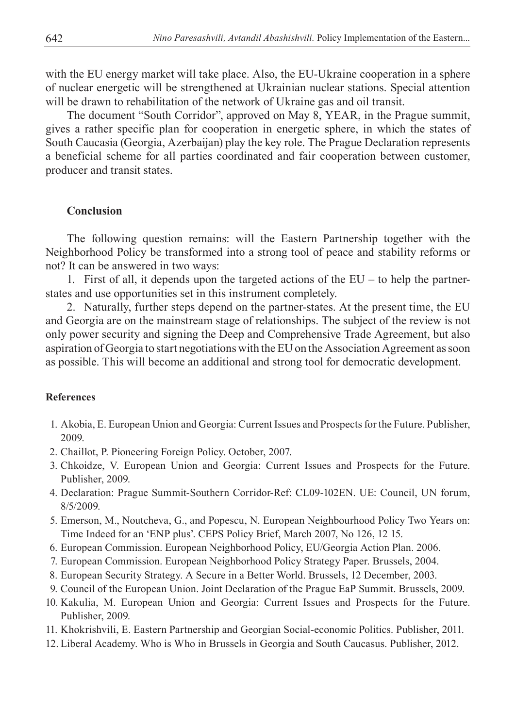with the EU energy market will take place. Also, the EU-Ukraine cooperation in a sphere of nuclear energetic will be strengthened at Ukrainian nuclear stations. Special attention will be drawn to rehabilitation of the network of Ukraine gas and oil transit.

The document "South Corridor", approved on May 8, YEAR, in the Prague summit, gives a rather specific plan for cooperation in energetic sphere, in which the states of South Caucasia (Georgia, Azerbaijan) play the key role. The Prague Declaration represents a beneficial scheme for all parties coordinated and fair cooperation between customer, producer and transit states.

### **Conclusion**

The following question remains: will the Eastern Partnership together with the Neighborhood Policy be transformed into a strong tool of peace and stability reforms or not? It can be answered in two ways:

1. First of all, it depends upon the targeted actions of the EU – to help the partnerstates and use opportunities set in this instrument completely.

2. Naturally, further steps depend on the partner-states. At the present time, the EU and Georgia are on the mainstream stage of relationships. The subject of the review is not only power security and signing the Deep and Comprehensive Trade Agreement, but also aspiration of Georgia to start negotiations with the EU on the Association Agreement as soon as possible. This will become an additional and strong tool for democratic development.

#### **References**

- 1. Akobia, E. European Union and Georgia: Current Issues and Prospects for the Future. Publisher, 2009.
- 2. Chaillot, P. Pioneering Foreign Policy. October, 2007.
- 3. Chkoidze, V. European Union and Georgia: Current Issues and Prospects for the Future. Publisher, 2009.
- 4. Declaration: Prague Summit-Southern Corridor-Ref: CL09-102EN. UE: Council, UN forum, 8/5/2009.
- 5. Emerson, M., Noutcheva, G., and Popescu, N. European Neighbourhood Policy Two Years on: Time Indeed for an 'ENP plus'. CEPS Policy Brief, March 2007, No 126, 12 15.
- 6. European Commission. European Neighborhood Policy, EU/Georgia Action Plan. 2006.
- 7. European Commission. European Neighborhood Policy Strategy Paper. Brussels, 2004.
- 8. European Security Strategy. A Secure in a Better World. Brussels, 12 December, 2003.
- 9. Council of the European Union. Joint Declaration of the Prague EaP Summit. Brussels, 2009.
- 10. Kakulia, M. European Union and Georgia: Current Issues and Prospects for the Future. Publisher, 2009.
- 11. Khokrishvili, E. Eastern Partnership and Georgian Social-economic Politics. Publisher, 2011.
- 12. Liberal Academy. Who is Who in Brussels in Georgia and South Caucasus. Publisher, 2012.